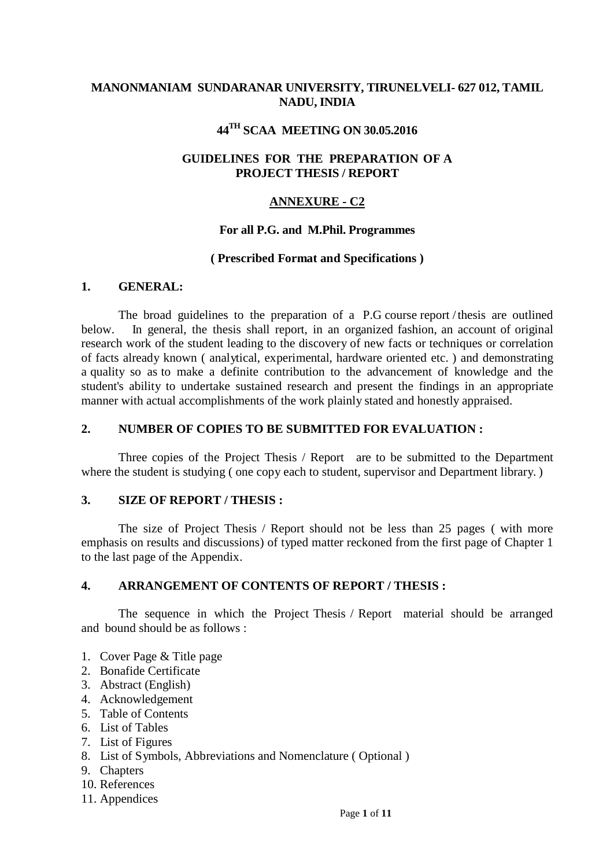### **MANONMANIAM SUNDARANAR UNIVERSITY, TIRUNELVELI- 627 012, TAMIL NADU, INDIA**

## **44TH SCAA MEETING ON 30.05.2016**

### **GUIDELINES FOR THE PREPARATION OF A PROJECT THESIS / REPORT**

### **ANNEXURE - C2**

#### **For all P.G. and M.Phil. Programmes**

#### **( Prescribed Format and Specifications )**

#### **1. GENERAL:**

The broad guidelines to the preparation of a P.G course report /thesis are outlined below. In general, the thesis shall report, in an organized fashion, an account of original research work of the student leading to the discovery of new facts or techniques or correlation of facts already known ( analytical, experimental, hardware oriented etc. ) and demonstrating a quality so as to make a definite contribution to the advancement of knowledge and the student's ability to undertake sustained research and present the findings in an appropriate manner with actual accomplishments of the work plainly stated and honestly appraised.

#### **2. NUMBER OF COPIES TO BE SUBMITTED FOR EVALUATION :**

Three copies of the Project Thesis / Report are to be submitted to the Department where the student is studying (one copy each to student, supervisor and Department library.)

#### **3. SIZE OF REPORT / THESIS :**

The size of Project Thesis / Report should not be less than 25 pages ( with more emphasis on results and discussions) of typed matter reckoned from the first page of Chapter 1 to the last page of the Appendix.

#### **4. ARRANGEMENT OF CONTENTS OF REPORT / THESIS :**

The sequence in which the Project Thesis / Report material should be arranged and bound should be as follows :

- 1. Cover Page & Title page
- 2. Bonafide Certificate
- 3. Abstract (English)
- 4. Acknowledgement
- 5. Table of Contents
- 6. List of Tables
- 7. List of Figures
- 8. List of Symbols, Abbreviations and Nomenclature ( Optional )
- 9. Chapters
- 10. References
- 11. Appendices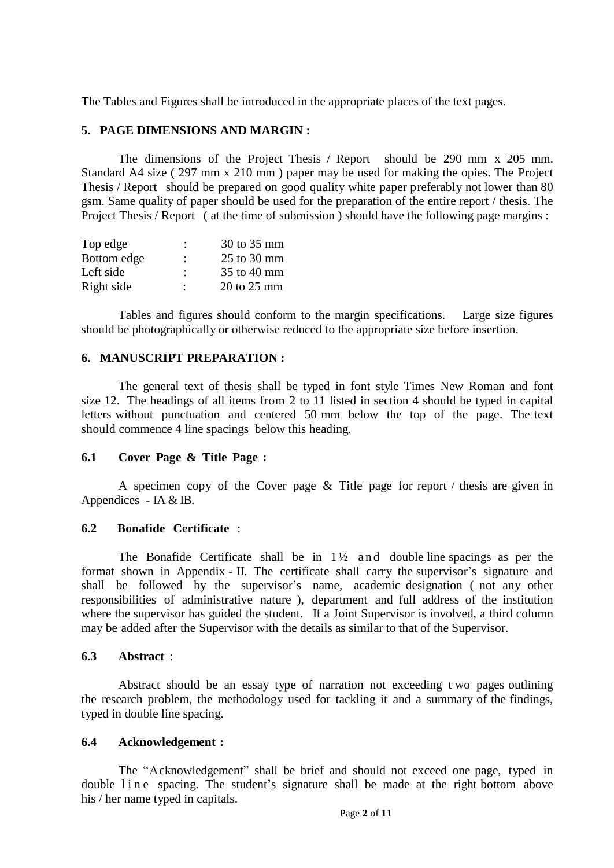The Tables and Figures shall be introduced in the appropriate places of the text pages.

## **5. PAGE DIMENSIONS AND MARGIN :**

The dimensions of the Project Thesis / Report should be 290 mm x 205 mm. Standard A4 size ( 297 mm x 210 mm ) paper may be used for making the opies. The Project Thesis / Report should be prepared on good quality white paper preferably not lower than 80 gsm. Same quality of paper should be used for the preparation of the entire report / thesis. The Project Thesis / Report ( at the time of submission ) should have the following page margins :

| Top edge    | ٠<br>$\blacksquare$ | 30 to 35 mm |
|-------------|---------------------|-------------|
| Bottom edge | ٠                   | 25 to 30 mm |
| Left side   | ٠                   | 35 to 40 mm |
| Right side  | ٠                   | 20 to 25 mm |

Tables and figures should conform to the margin specifications. Large size figures should be photographically or otherwise reduced to the appropriate size before insertion.

### **6. MANUSCRIPT PREPARATION :**

The general text of thesis shall be typed in font style Times New Roman and font size 12. The headings of all items from 2 to 11 listed in section 4 should be typed in capital letters without punctuation and centered 50 mm below the top of the page. The text should commence 4 line spacings below this heading.

### **6.1 Cover Page & Title Page :**

A specimen copy of the Cover page & Title page for report / thesis are given in Appendices - IA & IB.

### **6.2 Bonafide Certificate** :

The Bonafide Certificate shall be in  $1\frac{1}{2}$  and double line spacings as per the format shown in Appendix - II. The certificate shall carry the supervisor's signature and shall be followed by the supervisor's name, academic designation (not any other responsibilities of administrative nature ), department and full address of the institution where the supervisor has guided the student. If a Joint Supervisor is involved, a third column may be added after the Supervisor with the details as similar to that of the Supervisor.

### **6.3 Abstract** :

Abstract should be an essay type of narration not exceeding t wo pages outlining the research problem, the methodology used for tackling it and a summary of the findings, typed in double line spacing.

### **6.4 Acknowledgement :**

The "Acknowledgement" shall be brief and should not exceed one page, typed in double line spacing. The student's signature shall be made at the right bottom above his / her name typed in capitals.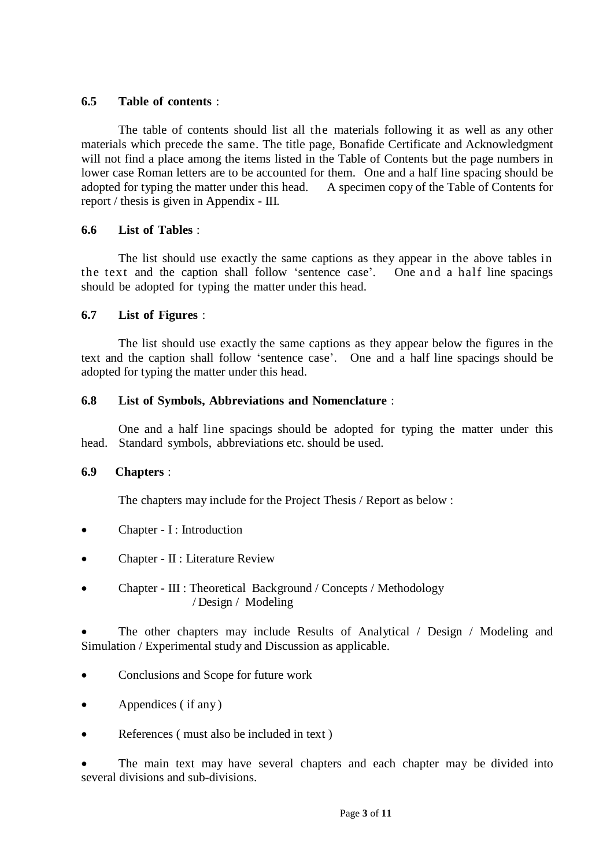### **6.5 Table of contents** :

The table of contents should list all the materials following it as well as any other materials which precede the same. The title page, Bonafide Certificate and Acknowledgment will not find a place among the items listed in the Table of Contents but the page numbers in lower case Roman letters are to be accounted for them. One and a half line spacing should be adopted for typing the matter under this head. A specimen copy of the Table of Contents for adopted for typing the matter under this head. report / thesis is given in Appendix - III.

### **6.6 List of Tables** :

The list should use exactly the same captions as they appear in the above tables in the text and the caption shall follow 'sentence case'. One and a half line spacings should be adopted for typing the matter under this head.

### **6.7 List of Figures** :

The list should use exactly the same captions as they appear below the figures in the text and the caption shall follow "sentence case". One and a half line spacings should be adopted for typing the matter under this head.

### **6.8 List of Symbols, Abbreviations and Nomenclature** :

One and a half line spacings should be adopted for typing the matter under this head. Standard symbols, abbreviations etc. should be used.

### **6.9 Chapters** :

The chapters may include for the Project Thesis / Report as below :

- Chapter I : Introduction
- Chapter II : Literature Review
- Chapter III : Theoretical Background / Concepts / Methodology / Design / Modeling

 The other chapters may include Results of Analytical / Design / Modeling and Simulation / Experimental study and Discussion as applicable.

- Conclusions and Scope for future work
- Appendices ( if any )
- References ( must also be included in text )

 The main text may have several chapters and each chapter may be divided into several divisions and sub-divisions.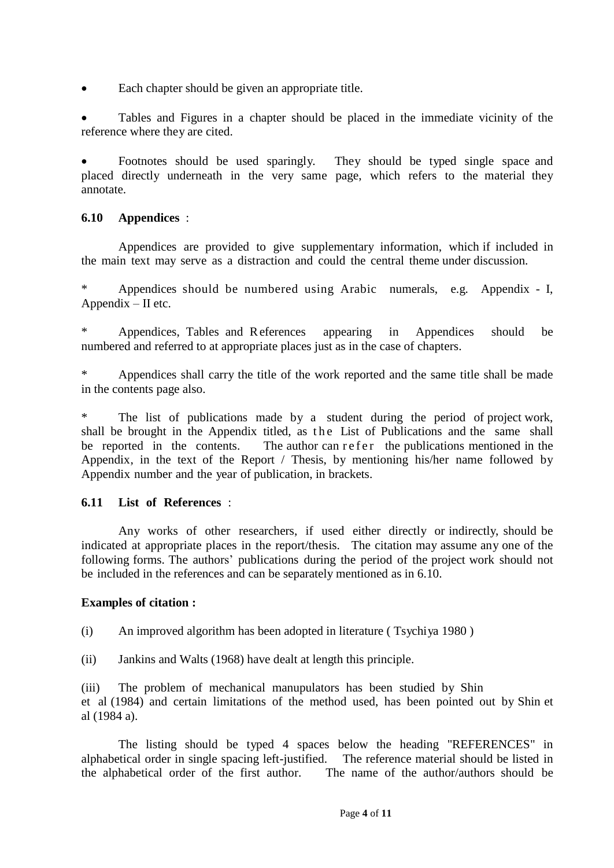Each chapter should be given an appropriate title.

 Tables and Figures in a chapter should be placed in the immediate vicinity of the reference where they are cited.

 Footnotes should be used sparingly. They should be typed single space and placed directly underneath in the very same page, which refers to the material they annotate.

## **6.10 Appendices** :

Appendices are provided to give supplementary information, which if included in the main text may serve as a distraction and could the central theme under discussion.

\* Appendices should be numbered using Arabic numerals, e.g. Appendix - I, Appendix – II etc.

\* Appendices, Tables and References appearing in Appendices should be numbered and referred to at appropriate places just as in the case of chapters.

Appendices shall carry the title of the work reported and the same title shall be made in the contents page also.

\* The list of publications made by a student during the period of project work, shall be brought in the Appendix titled, as the List of Publications and the same shall be reported in the contents. The author can r e f e r the publications mentioned in the Appendix, in the text of the Report / Thesis, by mentioning his/her name followed by Appendix number and the year of publication, in brackets.

# **6.11 List of References** :

Any works of other researchers, if used either directly or indirectly, should be indicated at appropriate places in the report/thesis. The citation may assume any one of the following forms. The authors" publications during the period of the project work should not be included in the references and can be separately mentioned as in 6.10.

## **Examples of citation :**

(i) An improved algorithm has been adopted in literature ( Tsychiya 1980 )

(ii) Jankins and Walts (1968) have dealt at length this principle.

(iii) The problem of mechanical manupulators has been studied by Shin et al (1984) and certain limitations of the method used, has been pointed out by Shin et al (1984 a).

The listing should be typed 4 spaces below the heading "REFERENCES" in alphabetical order in single spacing left-justified. The reference material should be listed in the alphabetical order of the first author. The name of the author/authors should be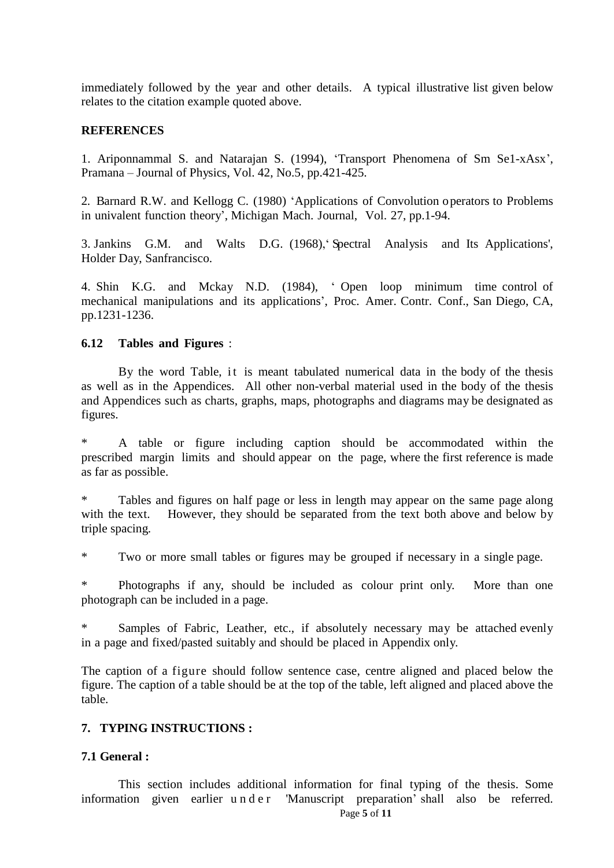immediately followed by the year and other details. A typical illustrative list given below relates to the citation example quoted above.

### **REFERENCES**

1. Ariponnammal S. and Natarajan S. (1994), "Transport Phenomena of Sm Se1-xAsx", Pramana – Journal of Physics, Vol. 42, No.5, pp.421-425.

2. Barnard R.W. and Kellogg C. (1980) "Applications of Convolution operators to Problems in univalent function theory", Michigan Mach. Journal, Vol. 27, pp.1-94.

3. Jankins G.M. and Walts D.G. (1968)," Spectral Analysis and Its Applications', Holder Day, Sanfrancisco.

4. Shin K.G. and Mckay N.D. (1984), " Open loop minimum time control of mechanical manipulations and its applications", Proc. Amer. Contr. Conf., San Diego, CA, pp.1231-1236.

### **6.12 Tables and Figures** :

By the word Table, it is meant tabulated numerical data in the body of the thesis as well as in the Appendices. All other non-verbal material used in the body of the thesis and Appendices such as charts, graphs, maps, photographs and diagrams may be designated as figures.

A table or figure including caption should be accommodated within the prescribed margin limits and should appear on the page, where the first reference is made as far as possible.

\* Tables and figures on half page or less in length may appear on the same page along with the text. However, they should be separated from the text both above and below by triple spacing.

\* Two or more small tables or figures may be grouped if necessary in a single page.

Photographs if any, should be included as colour print only. More than one photograph can be included in a page.

\* Samples of Fabric, Leather, etc., if absolutely necessary may be attached evenly in a page and fixed/pasted suitably and should be placed in Appendix only.

The caption of a figure should follow sentence case, centre aligned and placed below the figure. The caption of a table should be at the top of the table, left aligned and placed above the table.

## **7. TYPING INSTRUCTIONS :**

## **7.1 General :**

Page **5** of **11** This section includes additional information for final typing of the thesis. Some information given earlier u n d e r 'Manuscript preparation' shall also be referred.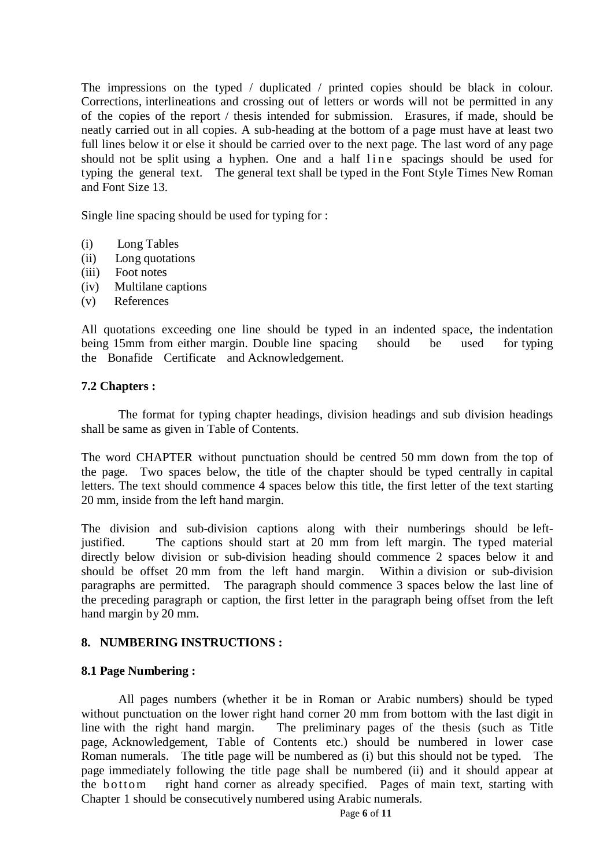The impressions on the typed / duplicated / printed copies should be black in colour. Corrections, interlineations and crossing out of letters or words will not be permitted in any of the copies of the report / thesis intended for submission. Erasures, if made, should be neatly carried out in all copies. A sub-heading at the bottom of a page must have at least two full lines below it or else it should be carried over to the next page. The last word of any page should not be split using a hyphen. One and a half line spacings should be used for typing the general text. The general text shall be typed in the Font Style Times New Roman and Font Size 13.

Single line spacing should be used for typing for :

- (i) Long Tables
- (ii) Long quotations
- (iii) Foot notes
- (iv) Multilane captions
- (v) References

All quotations exceeding one line should be typed in an indented space, the indentation being 15mm from either margin. Double line spacing should be used for typing the Bonafide Certificate and Acknowledgement.

### **7.2 Chapters :**

The format for typing chapter headings, division headings and sub division headings shall be same as given in Table of Contents.

The word CHAPTER without punctuation should be centred 50 mm down from the top of the page. Two spaces below, the title of the chapter should be typed centrally in capital letters. The text should commence 4 spaces below this title, the first letter of the text starting 20 mm, inside from the left hand margin.

The division and sub-division captions along with their numberings should be leftjustified. The captions should start at 20 mm from left margin. The typed material directly below division or sub-division heading should commence 2 spaces below it and should be offset 20 mm from the left hand margin. Within a division or sub-division paragraphs are permitted. The paragraph should commence 3 spaces below the last line of the preceding paragraph or caption, the first letter in the paragraph being offset from the left hand margin by 20 mm.

### **8. NUMBERING INSTRUCTIONS :**

### **8.1 Page Numbering :**

All pages numbers (whether it be in Roman or Arabic numbers) should be typed without punctuation on the lower right hand corner 20 mm from bottom with the last digit in line with the right hand margin. The preliminary pages of the thesis (such as Title page, Acknowledgement, Table of Contents etc.) should be numbered in lower case Roman numerals. The title page will be numbered as (i) but this should not be typed. The page immediately following the title page shall be numbered (ii) and it should appear at the bottom right hand corner as already specified. Pages of main text, starting with Chapter 1 should be consecutively numbered using Arabic numerals.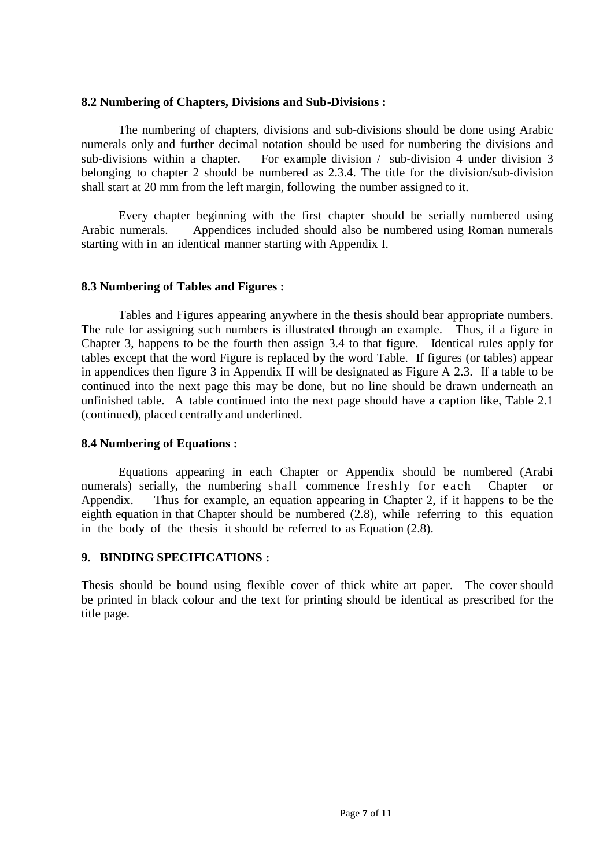### **8.2 Numbering of Chapters, Divisions and Sub-Divisions :**

The numbering of chapters, divisions and sub-divisions should be done using Arabic numerals only and further decimal notation should be used for numbering the divisions and sub-divisions within a chapter. For example division / sub-division 4 under division 3 belonging to chapter 2 should be numbered as 2.3.4. The title for the division/sub-division shall start at 20 mm from the left margin, following the number assigned to it.

Every chapter beginning with the first chapter should be serially numbered using Arabic numerals. Appendices included should also be numbered using Roman numerals starting with in an identical manner starting with Appendix I.

### **8.3 Numbering of Tables and Figures :**

Tables and Figures appearing anywhere in the thesis should bear appropriate numbers. The rule for assigning such numbers is illustrated through an example. Thus, if a figure in Chapter 3, happens to be the fourth then assign 3.4 to that figure. Identical rules apply for tables except that the word Figure is replaced by the word Table. If figures (or tables) appear in appendices then figure 3 in Appendix II will be designated as Figure A 2.3. If a table to be continued into the next page this may be done, but no line should be drawn underneath an unfinished table. A table continued into the next page should have a caption like, Table 2.1 (continued), placed centrally and underlined.

### **8.4 Numbering of Equations :**

Equations appearing in each Chapter or Appendix should be numbered (Arabi numerals) serially, the numbering shall commence freshly for each Chapter or Appendix. Thus for example, an equation appearing in Chapter 2, if it happens to be the eighth equation in that Chapter should be numbered (2.8), while referring to this equation in the body of the thesis it should be referred to as Equation (2.8).

## **9. BINDING SPECIFICATIONS :**

Thesis should be bound using flexible cover of thick white art paper. The cover should be printed in black colour and the text for printing should be identical as prescribed for the title page.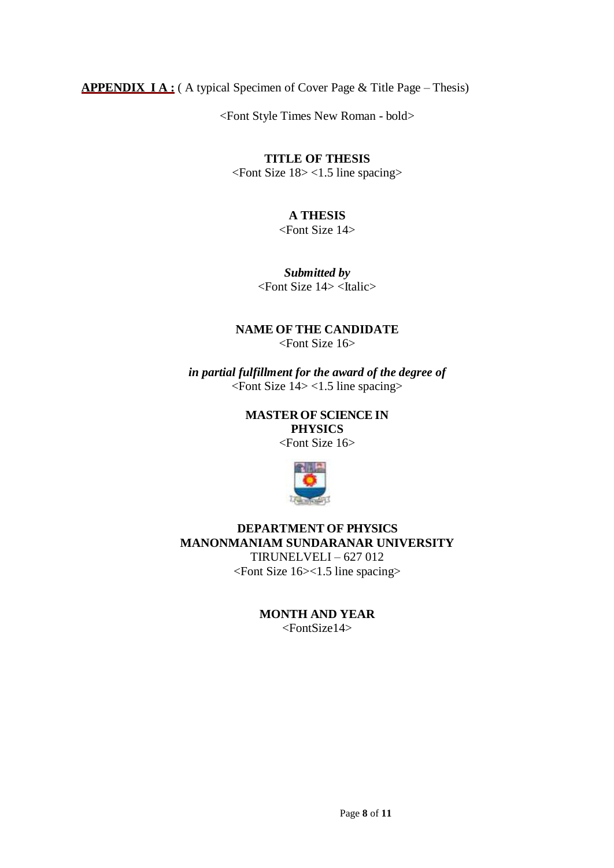**APPENDIX I A :** ( A typical Specimen of Cover Page & Title Page – Thesis)

<Font Style Times New Roman - bold>

## **TITLE OF THESIS**

<Font Size 18> <1.5 line spacing>

# **A THESIS**

<Font Size 14>

*Submitted by* <Font Size 14> <Italic>

## **NAME OF THE CANDIDATE** <Font Size 16>

*in partial fulfillment for the award of the degree of* <Font Size 14> <1.5 line spacing>

> **MASTEROF SCIENCE IN PHYSICS**

<Font Size 16>



**DEPARTMENT OF PHYSICS MANONMANIAM SUNDARANAR UNIVERSITY** TIRUNELVELI – 627 012 <Font Size 16><1.5 line spacing>

> **MONTH AND YEAR** <FontSize14>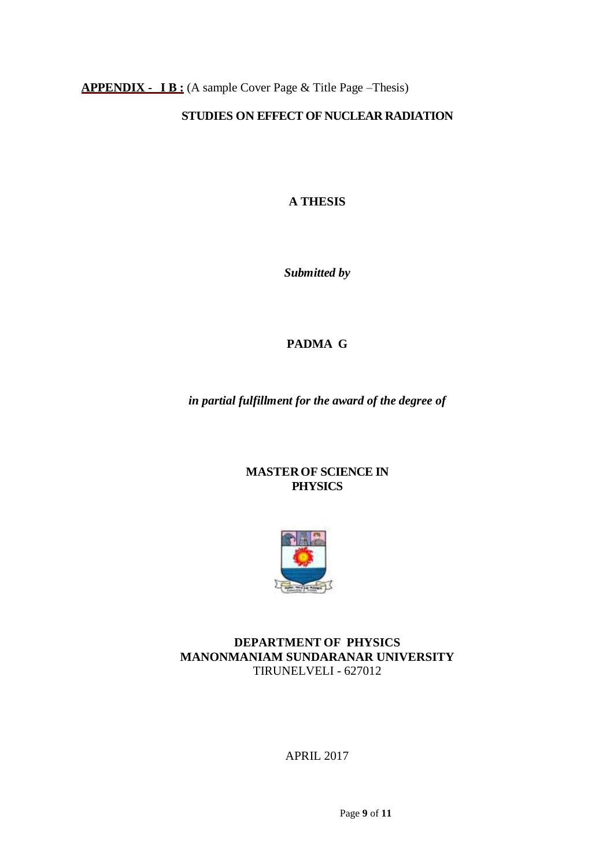**APPENDIX - I B :** (A sample Cover Page & Title Page –Thesis)

## **STUDIES ON EFFECT OF NUCLEAR RADIATION**

**A THESIS**

*Submitted by*

# **PADMA G**

*in partial fulfillment for the award of the degree of*

### **MASTEROF SCIENCE IN PHYSICS**



## **DEPARTMENT OF PHYSICS MANONMANIAM SUNDARANAR UNIVERSITY** TIRUNELVELI - 627012

APRIL 2017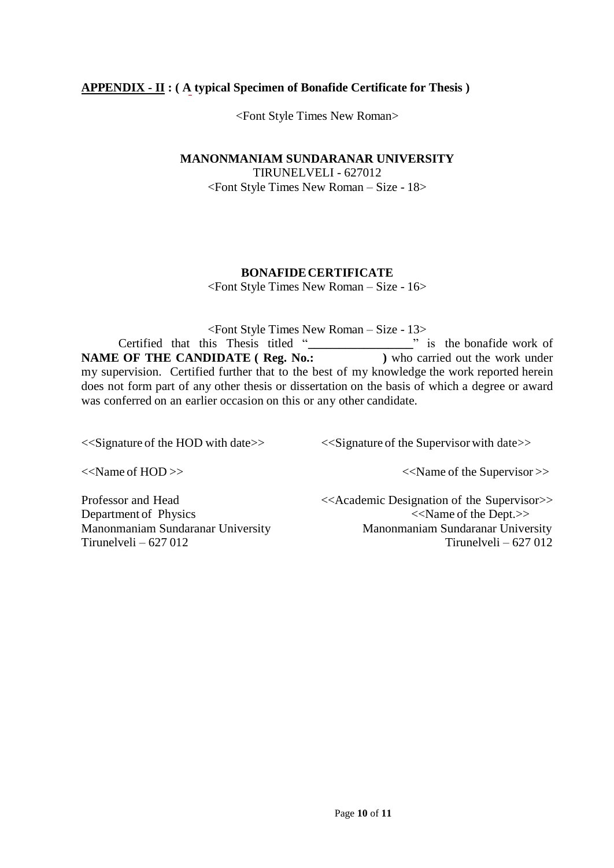## **APPENDIX - II : ( A typical Specimen of Bonafide Certificate for Thesis )**

<Font Style Times New Roman>

**MANONMANIAM SUNDARANAR UNIVERSITY**

TIRUNELVELI - 627012 <Font Style Times New Roman – Size - 18>

### **BONAFIDECERTIFICATE**

<Font Style Times New Roman – Size - 16>

<Font Style Times New Roman – Size - 13> Certified that this Thesis titled "**\_\_\_\_\_\_\_\_\_\_\_\_\_\_\_\_\_**" is the bonafide work of **NAME OF THE CANDIDATE ( Reg. No.: )** who carried out the work under my supervision. Certified further that to the best of my knowledge the work reported herein does not form part of any other thesis or dissertation on the basis of which a degree or award was conferred on an earlier occasion on this or any other candidate.

<<Signature of the HOD with date>> <<Signature of the Supervisor with date>>

<<Name of HOD >> <<Name of the Supervisor >>

Tirunelveli – 627 012 Tirunelveli – 627 012

Professor and Head <<Academic Designation of the Supervisor>> Department of Physics  $\langle\langle N\rangle\rangle$ Manonmaniam Sundaranar University Manonmaniam Sundaranar University